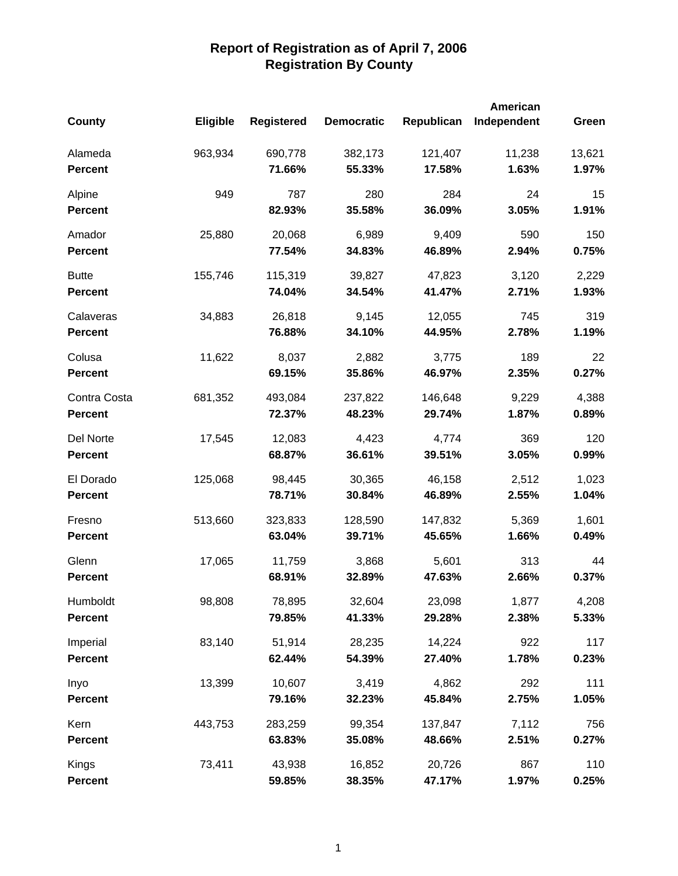|                |                 |                   |                   |            | <b>American</b> |        |
|----------------|-----------------|-------------------|-------------------|------------|-----------------|--------|
| <b>County</b>  | <b>Eligible</b> | <b>Registered</b> | <b>Democratic</b> | Republican | Independent     | Green  |
| Alameda        | 963,934         | 690,778           | 382,173           | 121,407    | 11,238          | 13,621 |
| <b>Percent</b> |                 | 71.66%            | 55.33%            | 17.58%     | 1.63%           | 1.97%  |
| Alpine         | 949             | 787               | 280               | 284        | 24              | 15     |
| <b>Percent</b> |                 | 82.93%            | 35.58%            | 36.09%     | 3.05%           | 1.91%  |
| Amador         | 25,880          | 20,068            | 6,989             | 9,409      | 590             | 150    |
| <b>Percent</b> |                 | 77.54%            | 34.83%            | 46.89%     | 2.94%           | 0.75%  |
| <b>Butte</b>   | 155,746         | 115,319           | 39,827            | 47,823     | 3,120           | 2,229  |
| <b>Percent</b> |                 | 74.04%            | 34.54%            | 41.47%     | 2.71%           | 1.93%  |
| Calaveras      | 34,883          | 26,818            | 9,145             | 12,055     | 745             | 319    |
| <b>Percent</b> |                 | 76.88%            | 34.10%            | 44.95%     | 2.78%           | 1.19%  |
| Colusa         | 11,622          | 8,037             | 2,882             | 3,775      | 189             | 22     |
| <b>Percent</b> |                 | 69.15%            | 35.86%            | 46.97%     | 2.35%           | 0.27%  |
| Contra Costa   | 681,352         | 493,084           | 237,822           | 146,648    | 9,229           | 4,388  |
| <b>Percent</b> |                 | 72.37%            | 48.23%            | 29.74%     | 1.87%           | 0.89%  |
| Del Norte      | 17,545          | 12,083            | 4,423             | 4,774      | 369             | 120    |
| <b>Percent</b> |                 | 68.87%            | 36.61%            | 39.51%     | 3.05%           | 0.99%  |
| El Dorado      | 125,068         | 98,445            | 30,365            | 46,158     | 2,512           | 1,023  |
| <b>Percent</b> |                 | 78.71%            | 30.84%            | 46.89%     | 2.55%           | 1.04%  |
| Fresno         | 513,660         | 323,833           | 128,590           | 147,832    | 5,369           | 1,601  |
| <b>Percent</b> |                 | 63.04%            | 39.71%            | 45.65%     | 1.66%           | 0.49%  |
| Glenn          | 17,065          | 11,759            | 3,868             | 5,601      | 313             | 44     |
| <b>Percent</b> |                 | 68.91%            | 32.89%            | 47.63%     | 2.66%           | 0.37%  |
| Humboldt       | 98,808          | 78,895            | 32,604            | 23,098     | 1,877           | 4,208  |
| <b>Percent</b> |                 | 79.85%            | 41.33%            | 29.28%     | 2.38%           | 5.33%  |
| Imperial       | 83,140          | 51,914            | 28,235            | 14,224     | 922             | 117    |
| <b>Percent</b> |                 | 62.44%            | 54.39%            | 27.40%     | 1.78%           | 0.23%  |
| Inyo           | 13,399          | 10,607            | 3,419             | 4,862      | 292             | 111    |
| <b>Percent</b> |                 | 79.16%            | 32.23%            | 45.84%     | 2.75%           | 1.05%  |
| Kern           | 443,753         | 283,259           | 99,354            | 137,847    | 7,112           | 756    |
| <b>Percent</b> |                 | 63.83%            | 35.08%            | 48.66%     | 2.51%           | 0.27%  |
| Kings          | 73,411          | 43,938            | 16,852            | 20,726     | 867             | 110    |
| <b>Percent</b> |                 | 59.85%            | 38.35%            | 47.17%     | 1.97%           | 0.25%  |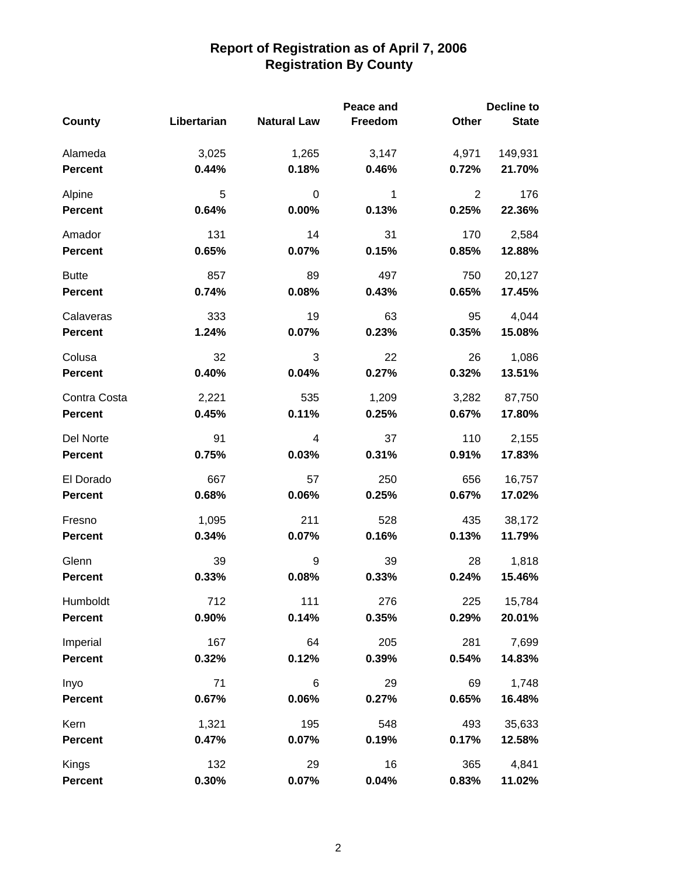|                |             |                    | Peace and |                | <b>Decline to</b> |  |  |
|----------------|-------------|--------------------|-----------|----------------|-------------------|--|--|
| County         | Libertarian | <b>Natural Law</b> | Freedom   | Other          | <b>State</b>      |  |  |
| Alameda        | 3,025       | 1,265              | 3,147     | 4,971          | 149,931           |  |  |
| <b>Percent</b> | 0.44%       | 0.18%              | 0.46%     | 0.72%          | 21.70%            |  |  |
| Alpine         | 5           | 0                  | 1         | $\overline{2}$ | 176               |  |  |
| <b>Percent</b> | 0.64%       | 0.00%              | 0.13%     | 0.25%          | 22.36%            |  |  |
| Amador         | 131         | 14                 | 31        | 170            | 2,584             |  |  |
| <b>Percent</b> | 0.65%       | 0.07%              | 0.15%     | 0.85%          | 12.88%            |  |  |
| <b>Butte</b>   | 857         | 89                 | 497       | 750            | 20,127            |  |  |
| <b>Percent</b> | 0.74%       | 0.08%              | 0.43%     | 0.65%          | 17.45%            |  |  |
| Calaveras      | 333         | 19                 | 63        | 95             | 4,044             |  |  |
| <b>Percent</b> | 1.24%       | 0.07%              | 0.23%     | 0.35%          | 15.08%            |  |  |
| Colusa         | 32          | 3                  | 22        | 26             | 1,086             |  |  |
| <b>Percent</b> | 0.40%       | 0.04%              | 0.27%     | 0.32%          | 13.51%            |  |  |
| Contra Costa   | 2,221       | 535                | 1,209     | 3,282          | 87,750            |  |  |
| <b>Percent</b> | 0.45%       | 0.11%              | 0.25%     | 0.67%          | 17.80%            |  |  |
| Del Norte      | 91          | 4                  | 37        | 110            | 2,155             |  |  |
| <b>Percent</b> | 0.75%       | 0.03%              | 0.31%     | 0.91%          | 17.83%            |  |  |
| El Dorado      | 667         | 57                 | 250       | 656            | 16,757            |  |  |
| <b>Percent</b> | 0.68%       | 0.06%              | 0.25%     | 0.67%          | 17.02%            |  |  |
| Fresno         | 1,095       | 211                | 528       | 435            | 38,172            |  |  |
| <b>Percent</b> | 0.34%       | 0.07%              | 0.16%     | 0.13%          | 11.79%            |  |  |
| Glenn          | 39          | 9                  | 39        | 28             | 1,818             |  |  |
| <b>Percent</b> | 0.33%       | 0.08%              | 0.33%     | 0.24%          | 15.46%            |  |  |
| Humboldt       | 712         | 111                | 276       | 225            | 15,784            |  |  |
| <b>Percent</b> | 0.90%       | 0.14%              | 0.35%     | 0.29%          | 20.01%            |  |  |
| Imperial       | 167         | 64                 | 205       | 281            | 7,699             |  |  |
| <b>Percent</b> | 0.32%       | 0.12%              | 0.39%     | 0.54%          | 14.83%            |  |  |
| Inyo           | 71          | 6                  | 29        | 69             | 1,748             |  |  |
| <b>Percent</b> | 0.67%       | 0.06%              | 0.27%     | 0.65%          | 16.48%            |  |  |
| Kern           | 1,321       | 195                | 548       | 493            | 35,633            |  |  |
| Percent        | 0.47%       | 0.07%              | 0.19%     | 0.17%          | 12.58%            |  |  |
| Kings          | 132         | 29                 | 16        | 365            | 4,841             |  |  |
| <b>Percent</b> | 0.30%       | 0.07%              | 0.04%     | 0.83%          | 11.02%            |  |  |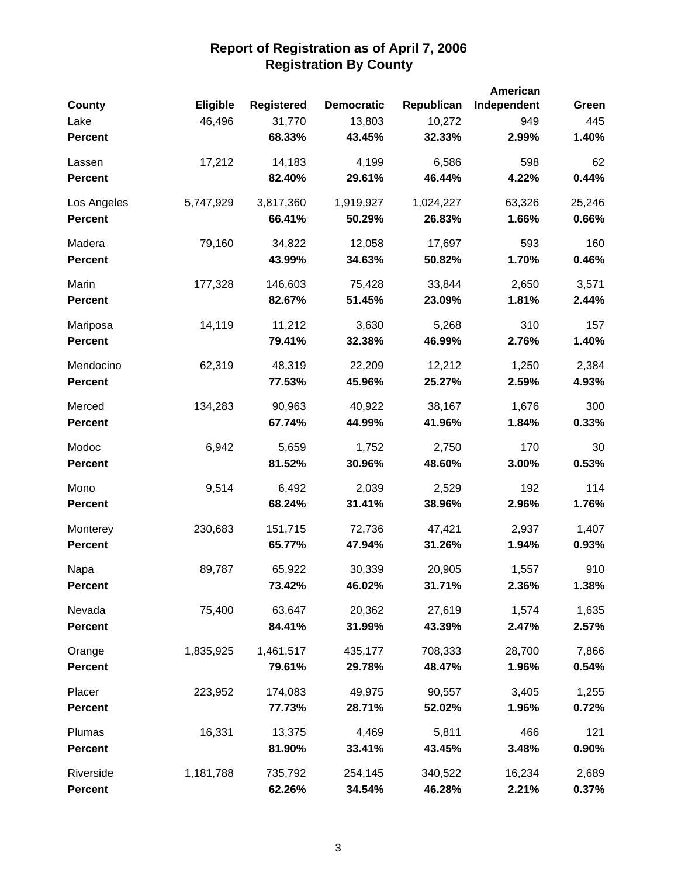| <b>County</b>  | <b>Eligible</b> | <b>Registered</b> | <b>Democratic</b> | Republican | American<br>Independent | Green  |
|----------------|-----------------|-------------------|-------------------|------------|-------------------------|--------|
| Lake           | 46,496          | 31,770            | 13,803            | 10,272     | 949                     | 445    |
| <b>Percent</b> |                 | 68.33%            | 43.45%            | 32.33%     | 2.99%                   | 1.40%  |
| Lassen         | 17,212          | 14,183            | 4,199             | 6,586      | 598                     | 62     |
| <b>Percent</b> |                 | 82.40%            | 29.61%            | 46.44%     | 4.22%                   | 0.44%  |
| Los Angeles    | 5,747,929       | 3,817,360         | 1,919,927         | 1,024,227  | 63,326                  | 25,246 |
| <b>Percent</b> |                 | 66.41%            | 50.29%            | 26.83%     | 1.66%                   | 0.66%  |
| Madera         | 79,160          | 34,822            | 12,058            | 17,697     | 593                     | 160    |
| <b>Percent</b> |                 | 43.99%            | 34.63%            | 50.82%     | 1.70%                   | 0.46%  |
| Marin          | 177,328         | 146,603           | 75,428            | 33,844     | 2,650                   | 3,571  |
| <b>Percent</b> |                 | 82.67%            | 51.45%            | 23.09%     | 1.81%                   | 2.44%  |
| Mariposa       | 14,119          | 11,212            | 3,630             | 5,268      | 310                     | 157    |
| <b>Percent</b> |                 | 79.41%            | 32.38%            | 46.99%     | 2.76%                   | 1.40%  |
| Mendocino      | 62,319          | 48,319            | 22,209            | 12,212     | 1,250                   | 2,384  |
| <b>Percent</b> |                 | 77.53%            | 45.96%            | 25.27%     | 2.59%                   | 4.93%  |
| Merced         | 134,283         | 90,963            | 40,922            | 38,167     | 1,676                   | 300    |
| <b>Percent</b> |                 | 67.74%            | 44.99%            | 41.96%     | 1.84%                   | 0.33%  |
| Modoc          | 6,942           | 5,659             | 1,752             | 2,750      | 170                     | 30     |
| <b>Percent</b> |                 | 81.52%            | 30.96%            | 48.60%     | 3.00%                   | 0.53%  |
| Mono           | 9,514           | 6,492             | 2,039             | 2,529      | 192                     | 114    |
| <b>Percent</b> |                 | 68.24%            | 31.41%            | 38.96%     | 2.96%                   | 1.76%  |
| Monterey       | 230,683         | 151,715           | 72,736            | 47,421     | 2,937                   | 1,407  |
| <b>Percent</b> |                 | 65.77%            | 47.94%            | 31.26%     | 1.94%                   | 0.93%  |
| Napa           | 89,787          | 65,922            | 30,339            | 20,905     | 1,557                   | 910    |
| <b>Percent</b> |                 | 73.42%            | 46.02%            | 31.71%     | 2.36%                   | 1.38%  |
| Nevada         | 75,400          | 63,647            | 20,362            | 27,619     | 1,574                   | 1,635  |
| <b>Percent</b> |                 | 84.41%            | 31.99%            | 43.39%     | 2.47%                   | 2.57%  |
| Orange         | 1,835,925       | 1,461,517         | 435,177           | 708,333    | 28,700                  | 7,866  |
| <b>Percent</b> |                 | 79.61%            | 29.78%            | 48.47%     | 1.96%                   | 0.54%  |
| Placer         | 223,952         | 174,083           | 49,975            | 90,557     | 3,405                   | 1,255  |
| <b>Percent</b> |                 | 77.73%            | 28.71%            | 52.02%     | 1.96%                   | 0.72%  |
| Plumas         | 16,331          | 13,375            | 4,469             | 5,811      | 466                     | 121    |
| <b>Percent</b> |                 | 81.90%            | 33.41%            | 43.45%     | 3.48%                   | 0.90%  |
| Riverside      | 1,181,788       | 735,792           | 254,145           | 340,522    | 16,234                  | 2,689  |
| <b>Percent</b> |                 | 62.26%            | 34.54%            | 46.28%     | 2.21%                   | 0.37%  |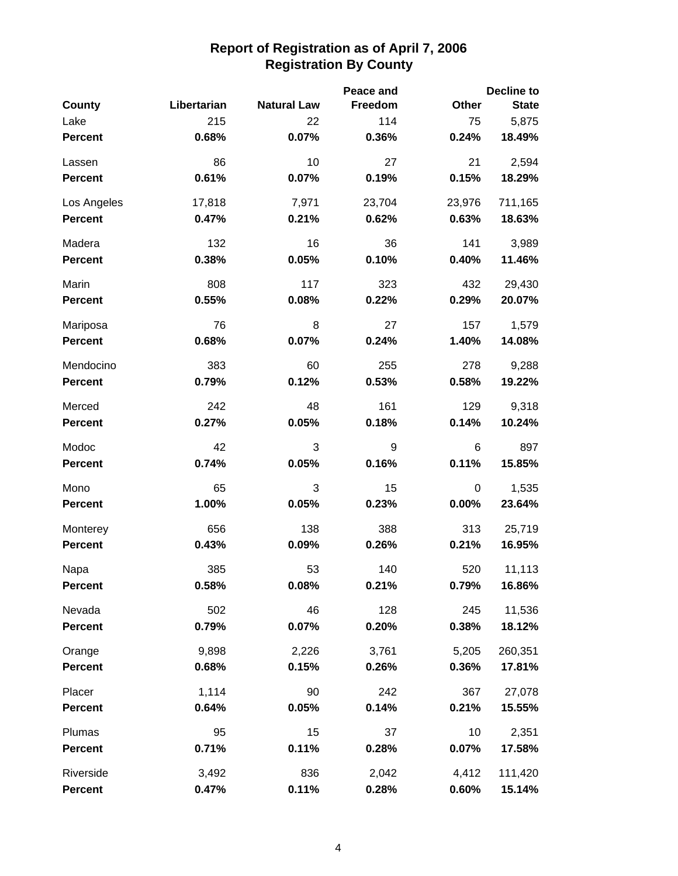|                |             |                    | Peace and |          | <b>Decline to</b> |
|----------------|-------------|--------------------|-----------|----------|-------------------|
| County         | Libertarian | <b>Natural Law</b> | Freedom   | Other    | <b>State</b>      |
| Lake           | 215         | 22                 | 114       | 75       | 5,875             |
| <b>Percent</b> | 0.68%       | 0.07%              | 0.36%     | 0.24%    | 18.49%            |
| Lassen         | 86          | 10                 | 27        | 21       | 2,594             |
| <b>Percent</b> | 0.61%       | 0.07%              | 0.19%     | 0.15%    | 18.29%            |
| Los Angeles    | 17,818      | 7,971              | 23,704    | 23,976   | 711,165           |
| <b>Percent</b> | 0.47%       | 0.21%              | 0.62%     | 0.63%    | 18.63%            |
| Madera         | 132         | 16                 | 36        | 141      | 3,989             |
| <b>Percent</b> | 0.38%       | 0.05%              | 0.10%     | 0.40%    | 11.46%            |
| Marin          | 808         | 117                | 323       | 432      | 29,430            |
| <b>Percent</b> | 0.55%       | 0.08%              | 0.22%     | 0.29%    | 20.07%            |
| Mariposa       | 76          | 8                  | 27        | 157      | 1,579             |
| <b>Percent</b> | 0.68%       | 0.07%              | 0.24%     | 1.40%    | 14.08%            |
| Mendocino      | 383         | 60                 | 255       | 278      | 9,288             |
| <b>Percent</b> | 0.79%       | 0.12%              | 0.53%     | 0.58%    | 19.22%            |
| Merced         | 242         | 48                 | 161       | 129      | 9,318             |
| <b>Percent</b> | 0.27%       | 0.05%              | 0.18%     | 0.14%    | 10.24%            |
| Modoc          | 42          | 3                  | 9         | 6        | 897               |
| <b>Percent</b> | 0.74%       | 0.05%              | 0.16%     | 0.11%    | 15.85%            |
| Mono           | 65          | 3                  | 15        | 0        | 1,535             |
| <b>Percent</b> | 1.00%       | 0.05%              | 0.23%     | $0.00\%$ | 23.64%            |
| Monterey       | 656         | 138                | 388       | 313      | 25,719            |
| Percent        | 0.43%       | 0.09%              | 0.26%     | 0.21%    | 16.95%            |
| Napa           | 385         | 53                 | 140       | 520      | 11,113            |
| <b>Percent</b> | 0.58%       | 0.08%              | 0.21%     | 0.79%    | 16.86%            |
| Nevada         | 502         | 46                 | 128       | 245      | 11,536            |
| <b>Percent</b> | 0.79%       | 0.07%              | 0.20%     | 0.38%    | 18.12%            |
| Orange         | 9,898       | 2,226              | 3,761     | 5,205    | 260,351           |
| <b>Percent</b> | 0.68%       | 0.15%              | 0.26%     | 0.36%    | 17.81%            |
| Placer         | 1,114       | 90                 | 242       | 367      | 27,078            |
| <b>Percent</b> | 0.64%       | 0.05%              | 0.14%     | 0.21%    | 15.55%            |
| Plumas         | 95          | 15                 | 37        | 10       | 2,351             |
| <b>Percent</b> | 0.71%       | 0.11%              | 0.28%     | 0.07%    | 17.58%            |
| Riverside      | 3,492       | 836                | 2,042     | 4,412    | 111,420           |
| Percent        | 0.47%       | 0.11%              | 0.28%     | 0.60%    | 15.14%            |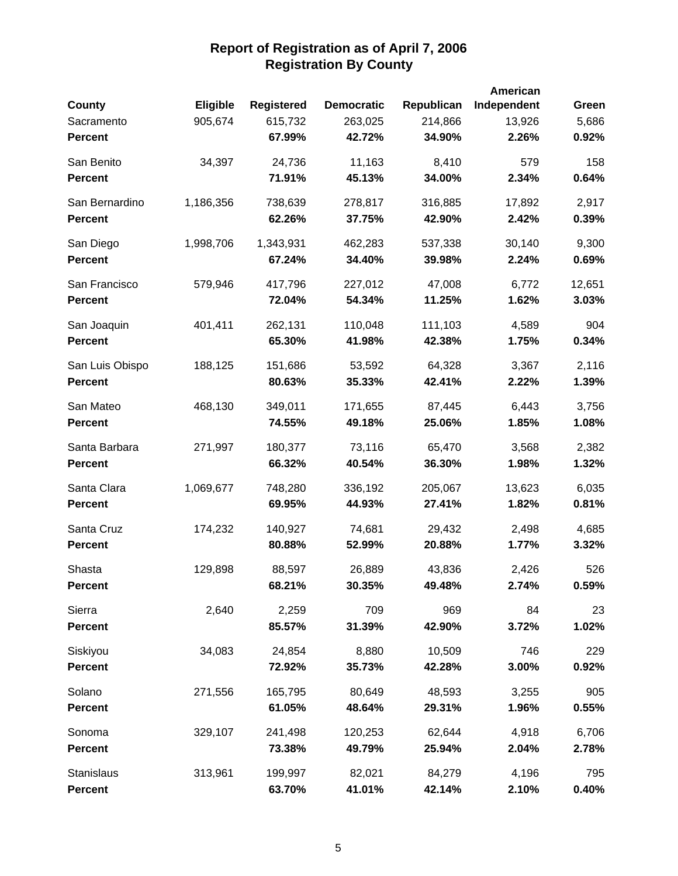|                 |                 |                   |                   |            | American    |        |
|-----------------|-----------------|-------------------|-------------------|------------|-------------|--------|
| <b>County</b>   | <b>Eligible</b> | <b>Registered</b> | <b>Democratic</b> | Republican | Independent | Green  |
| Sacramento      | 905,674         | 615,732           | 263,025           | 214,866    | 13,926      | 5,686  |
| <b>Percent</b>  |                 | 67.99%            | 42.72%            | 34.90%     | 2.26%       | 0.92%  |
| San Benito      | 34,397          | 24,736            | 11,163            | 8,410      | 579         | 158    |
| <b>Percent</b>  |                 | 71.91%            | 45.13%            | 34.00%     | 2.34%       | 0.64%  |
| San Bernardino  | 1,186,356       | 738,639           | 278,817           | 316,885    | 17,892      | 2,917  |
| <b>Percent</b>  |                 | 62.26%            | 37.75%            | 42.90%     | 2.42%       | 0.39%  |
| San Diego       | 1,998,706       | 1,343,931         | 462,283           | 537,338    | 30,140      | 9,300  |
| <b>Percent</b>  |                 | 67.24%            | 34.40%            | 39.98%     | 2.24%       | 0.69%  |
| San Francisco   | 579,946         | 417,796           | 227,012           | 47,008     | 6,772       | 12,651 |
| <b>Percent</b>  |                 | 72.04%            | 54.34%            | 11.25%     | 1.62%       | 3.03%  |
| San Joaquin     | 401,411         | 262,131           | 110,048           | 111,103    | 4,589       | 904    |
| <b>Percent</b>  |                 | 65.30%            | 41.98%            | 42.38%     | 1.75%       | 0.34%  |
| San Luis Obispo | 188,125         | 151,686           | 53,592            | 64,328     | 3,367       | 2,116  |
| <b>Percent</b>  |                 | 80.63%            | 35.33%            | 42.41%     | 2.22%       | 1.39%  |
| San Mateo       | 468,130         | 349,011           | 171,655           | 87,445     | 6,443       | 3,756  |
| <b>Percent</b>  |                 | 74.55%            | 49.18%            | 25.06%     | 1.85%       | 1.08%  |
| Santa Barbara   | 271,997         | 180,377           | 73,116            | 65,470     | 3,568       | 2,382  |
| <b>Percent</b>  |                 | 66.32%            | 40.54%            | 36.30%     | 1.98%       | 1.32%  |
| Santa Clara     | 1,069,677       | 748,280           | 336,192           | 205,067    | 13,623      | 6,035  |
| <b>Percent</b>  |                 | 69.95%            | 44.93%            | 27.41%     | 1.82%       | 0.81%  |
| Santa Cruz      | 174,232         | 140,927           | 74,681            | 29,432     | 2,498       | 4,685  |
| <b>Percent</b>  |                 | 80.88%            | 52.99%            | 20.88%     | 1.77%       | 3.32%  |
| Shasta          | 129,898         | 88,597            | 26,889            | 43,836     | 2,426       | 526    |
| <b>Percent</b>  |                 | 68.21%            | 30.35%            | 49.48%     | 2.74%       | 0.59%  |
| Sierra          | 2,640           | 2,259             | 709               | 969        | 84          | 23     |
| <b>Percent</b>  |                 | 85.57%            | 31.39%            | 42.90%     | 3.72%       | 1.02%  |
| Siskiyou        | 34,083          | 24,854            | 8,880             | 10,509     | 746         | 229    |
| <b>Percent</b>  |                 | 72.92%            | 35.73%            | 42.28%     | 3.00%       | 0.92%  |
| Solano          | 271,556         | 165,795           | 80,649            | 48,593     | 3,255       | 905    |
| <b>Percent</b>  |                 | 61.05%            | 48.64%            | 29.31%     | 1.96%       | 0.55%  |
| Sonoma          | 329,107         | 241,498           | 120,253           | 62,644     | 4,918       | 6,706  |
| <b>Percent</b>  |                 | 73.38%            | 49.79%            | 25.94%     | 2.04%       | 2.78%  |
| Stanislaus      | 313,961         | 199,997           | 82,021            | 84,279     | 4,196       | 795    |
| <b>Percent</b>  |                 | 63.70%            | 41.01%            | 42.14%     | 2.10%       | 0.40%  |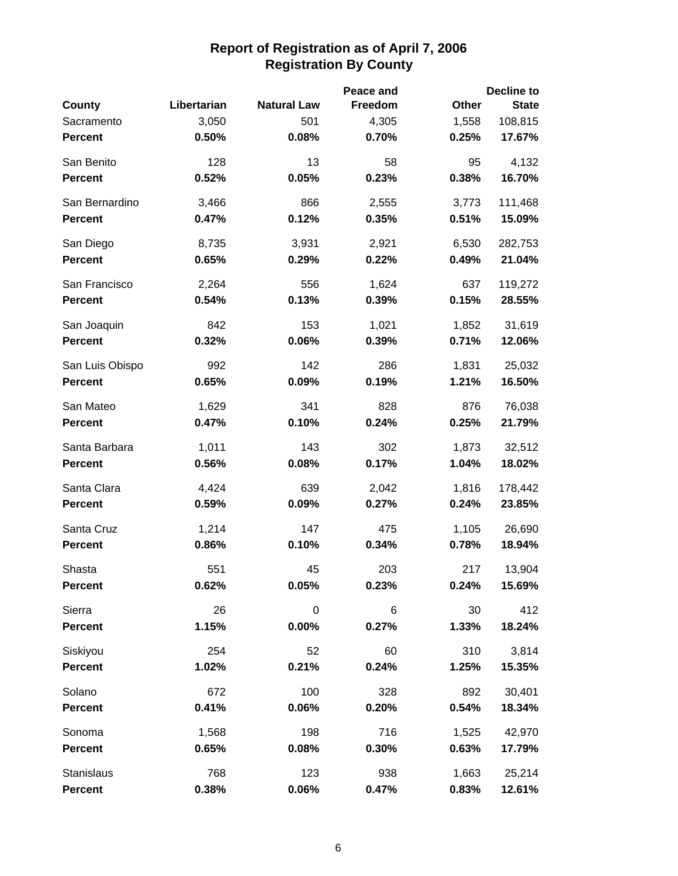|                 |             |                    | Peace and      |       | <b>Decline to</b> |
|-----------------|-------------|--------------------|----------------|-------|-------------------|
| County          | Libertarian | <b>Natural Law</b> | <b>Freedom</b> | Other | <b>State</b>      |
| Sacramento      | 3,050       | 501                | 4,305          | 1,558 | 108,815           |
| <b>Percent</b>  | 0.50%       | 0.08%              | 0.70%          | 0.25% | 17.67%            |
| San Benito      | 128         | 13                 | 58             | 95    | 4,132             |
| <b>Percent</b>  | 0.52%       | 0.05%              | 0.23%          | 0.38% | 16.70%            |
| San Bernardino  | 3,466       | 866                | 2,555          | 3,773 | 111,468           |
| <b>Percent</b>  | 0.47%       | 0.12%              | 0.35%          | 0.51% | 15.09%            |
| San Diego       | 8,735       | 3,931              | 2,921          | 6,530 | 282,753           |
| <b>Percent</b>  | 0.65%       | 0.29%              | 0.22%          | 0.49% | 21.04%            |
| San Francisco   | 2,264       | 556                | 1,624          | 637   | 119,272           |
| <b>Percent</b>  | 0.54%       | 0.13%              | 0.39%          | 0.15% | 28.55%            |
| San Joaquin     | 842         | 153                | 1,021          | 1,852 | 31,619            |
| <b>Percent</b>  | 0.32%       | 0.06%              | 0.39%          | 0.71% | 12.06%            |
| San Luis Obispo | 992         | 142                | 286            | 1,831 | 25,032            |
| <b>Percent</b>  | 0.65%       | 0.09%              | 0.19%          | 1.21% | 16.50%            |
| San Mateo       | 1,629       | 341                | 828            | 876   | 76,038            |
| <b>Percent</b>  | 0.47%       | 0.10%              | 0.24%          | 0.25% | 21.79%            |
| Santa Barbara   | 1,011       | 143                | 302            | 1,873 | 32,512            |
| <b>Percent</b>  | 0.56%       | 0.08%              | 0.17%          | 1.04% | 18.02%            |
| Santa Clara     | 4,424       | 639                | 2,042          | 1,816 | 178,442           |
| <b>Percent</b>  | 0.59%       | 0.09%              | 0.27%          | 0.24% | 23.85%            |
| Santa Cruz      | 1,214       | 147                | 475            | 1,105 | 26,690            |
| <b>Percent</b>  | 0.86%       | 0.10%              | 0.34%          | 0.78% | 18.94%            |
| Shasta          | 551         | 45                 | 203            | 217   | 13,904            |
| <b>Percent</b>  | 0.62%       | $0.05\%$           | 0.23%          | 0.24% | 15.69%            |
| Sierra          | 26          | 0                  | 6              | 30    | 412               |
| <b>Percent</b>  | 1.15%       | $0.00\%$           | 0.27%          | 1.33% | 18.24%            |
| Siskiyou        | 254         | 52                 | 60             | 310   | 3,814             |
| <b>Percent</b>  | 1.02%       | 0.21%              | 0.24%          | 1.25% | 15.35%            |
| Solano          | 672         | 100                | 328            | 892   | 30,401            |
| <b>Percent</b>  | 0.41%       | 0.06%              | 0.20%          | 0.54% | 18.34%            |
| Sonoma          | 1,568       | 198                | 716            | 1,525 | 42,970            |
| <b>Percent</b>  | 0.65%       | 0.08%              | 0.30%          | 0.63% | 17.79%            |
| Stanislaus      | 768         | 123                | 938            | 1,663 | 25,214            |
| <b>Percent</b>  | 0.38%       | 0.06%              | 0.47%          | 0.83% | 12.61%            |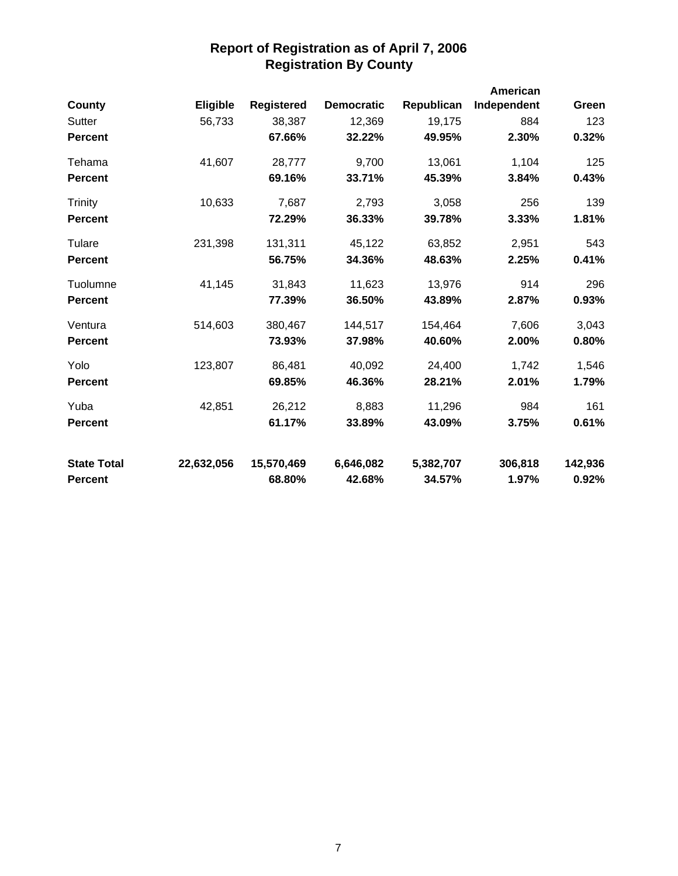|                    |            |                   |                   |            | American    |         |
|--------------------|------------|-------------------|-------------------|------------|-------------|---------|
| County             | Eligible   | <b>Registered</b> | <b>Democratic</b> | Republican | Independent | Green   |
| Sutter             | 56,733     | 38,387            | 12,369            | 19,175     | 884         | 123     |
| <b>Percent</b>     |            | 67.66%            | 32.22%            | 49.95%     | 2.30%       | 0.32%   |
| Tehama             | 41,607     | 28,777            | 9,700             | 13,061     | 1,104       | 125     |
| <b>Percent</b>     |            | 69.16%            | 33.71%            | 45.39%     | 3.84%       | 0.43%   |
| Trinity            | 10,633     | 7,687             | 2,793             | 3,058      | 256         | 139     |
| <b>Percent</b>     |            | 72.29%            | 36.33%            | 39.78%     | 3.33%       | 1.81%   |
| Tulare             | 231,398    | 131,311           | 45,122            | 63,852     | 2,951       | 543     |
| <b>Percent</b>     |            | 56.75%            | 34.36%            | 48.63%     | 2.25%       | 0.41%   |
| Tuolumne           | 41,145     | 31,843            | 11,623            | 13,976     | 914         | 296     |
| <b>Percent</b>     |            | 77.39%            | 36.50%            | 43.89%     | 2.87%       | 0.93%   |
| Ventura            | 514,603    | 380,467           | 144,517           | 154,464    | 7,606       | 3,043   |
| <b>Percent</b>     |            | 73.93%            | 37.98%            | 40.60%     | 2.00%       | 0.80%   |
| Yolo               | 123,807    | 86,481            | 40,092            | 24,400     | 1,742       | 1,546   |
| <b>Percent</b>     |            | 69.85%            | 46.36%            | 28.21%     | 2.01%       | 1.79%   |
| Yuba               | 42,851     | 26,212            | 8,883             | 11,296     | 984         | 161     |
| <b>Percent</b>     |            | 61.17%            | 33.89%            | 43.09%     | 3.75%       | 0.61%   |
| <b>State Total</b> | 22,632,056 | 15,570,469        | 6,646,082         | 5,382,707  | 306,818     | 142,936 |
| <b>Percent</b>     |            | 68.80%            | 42.68%            | 34.57%     | 1.97%       | 0.92%   |